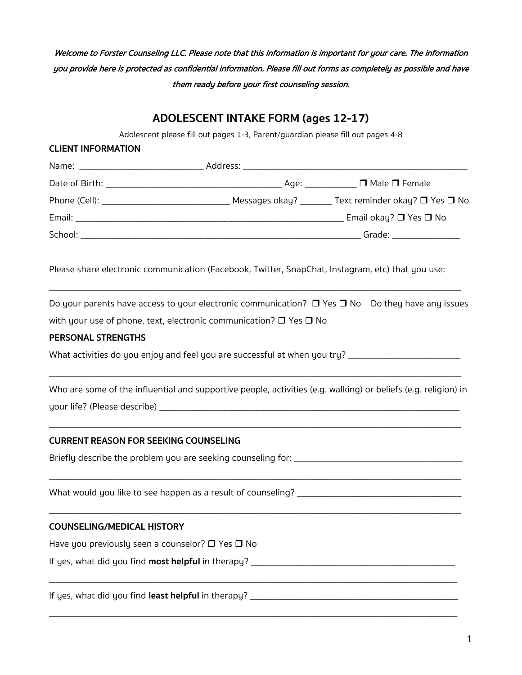Welcome to Forster Counseling LLC. Please note that this information is important for your care. The information you provide here is protected as confidential information. Please fill out forms as completely as possible and have them ready before your first counseling session.

# **ADOLESCENT INTAKE FORM (ages 12-17)**

Adolescent please fill out pages 1-3, Parent/guardian please fill out pages 4-8

| <b>CLIENT INFORMATION</b>                                                    |                                                                                                   |                                                                                                                |
|------------------------------------------------------------------------------|---------------------------------------------------------------------------------------------------|----------------------------------------------------------------------------------------------------------------|
|                                                                              |                                                                                                   |                                                                                                                |
|                                                                              |                                                                                                   |                                                                                                                |
|                                                                              |                                                                                                   |                                                                                                                |
|                                                                              |                                                                                                   |                                                                                                                |
|                                                                              |                                                                                                   |                                                                                                                |
|                                                                              | Please share electronic communication (Facebook, Twitter, SnapChat, Instagram, etc) that you use: |                                                                                                                |
|                                                                              |                                                                                                   | Do your parents have access to your electronic communication? $\Box$ Yes $\Box$ No Do they have any issues     |
|                                                                              | with your use of phone, text, electronic communication? $\Box$ Yes $\Box$ No                      |                                                                                                                |
| <b>PERSONAL STRENGTHS</b>                                                    |                                                                                                   |                                                                                                                |
|                                                                              |                                                                                                   | What activities do you enjoy and feel you are successful at when you try? __________________________           |
|                                                                              |                                                                                                   | Who are some of the influential and supportive people, activities (e.g. walking) or beliefs (e.g. religion) in |
|                                                                              |                                                                                                   |                                                                                                                |
| <b>CURRENT REASON FOR SEEKING COUNSELING</b>                                 |                                                                                                   |                                                                                                                |
|                                                                              |                                                                                                   |                                                                                                                |
|                                                                              |                                                                                                   |                                                                                                                |
| <b>COUNSELING/MEDICAL HISTORY</b>                                            |                                                                                                   |                                                                                                                |
| Have you previously seen a counselor? $\Box$ Yes $\Box$ No                   |                                                                                                   |                                                                                                                |
|                                                                              |                                                                                                   |                                                                                                                |
| If yes, what did you find least helpful in therapy? $\overline{\phantom{a}}$ |                                                                                                   |                                                                                                                |

\_\_\_\_\_\_\_\_\_\_\_\_\_\_\_\_\_\_\_\_\_\_\_\_\_\_\_\_\_\_\_\_\_\_\_\_\_\_\_\_\_\_\_\_\_\_\_\_\_\_\_\_\_\_\_\_\_\_\_\_\_\_\_\_\_\_\_\_\_\_\_\_\_\_\_\_\_\_\_\_\_\_\_\_\_\_\_\_\_\_\_\_\_\_\_\_\_\_\_\_\_\_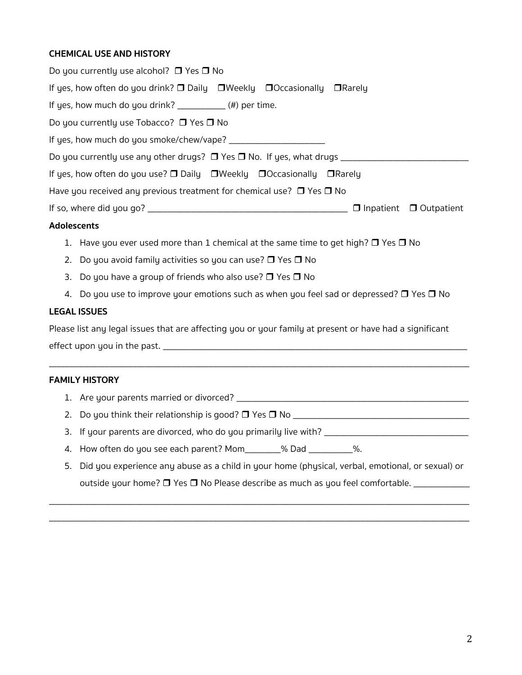# **CHEMICAL USE AND HISTORY**

| Addressed a                                                                                              |                                    |
|----------------------------------------------------------------------------------------------------------|------------------------------------|
|                                                                                                          | $\Box$ Inpatient $\Box$ Outpatient |
| Have you received any previous treatment for chemical use? $\Box$ Yes $\Box$ No                          |                                    |
| If yes, how often do you use? $\square$ Daily $\square$ Weekly $\square$ Occasionally $\square$ Rarely   |                                    |
|                                                                                                          |                                    |
|                                                                                                          |                                    |
| Do you currently use Tobacco? $\Box$ Yes $\Box$ No                                                       |                                    |
| If yes, how much do you drink? $\frac{1}{2}$ $\frac{1}{2}$ (#) per time.                                 |                                    |
| If yes, how often do you drink? $\square$ Daily $\square$ Weekly $\square$ Occasionally $\square$ Rarely |                                    |
| Do you currently use alcohol? $\Box$ Yes $\Box$ No                                                       |                                    |

#### **Adolescents**

- 1. Have you ever used more than 1 chemical at the same time to get high?  $\Box$  Yes  $\Box$  No
- 2. Do you avoid family activities so you can use?  $\Box$  Yes  $\Box$  No
- 3. Do you have a group of friends who also use?  $\Box$  Yes  $\Box$  No
- 4. Do you use to improve your emotions such as when you feel sad or depressed?  $\Box$  Yes  $\Box$  No

#### **LEGAL ISSUES**

Please list any legal issues that are affecting you or your family at present or have had a significant effect upon you in the past. \_\_\_\_\_\_\_\_\_\_\_\_\_\_\_\_\_\_\_\_\_\_\_\_\_\_\_\_\_\_\_\_\_\_\_\_\_\_\_\_\_\_\_\_\_\_\_\_\_\_\_\_\_\_\_\_\_\_\_\_\_\_\_\_\_\_\_\_\_\_\_\_\_\_\_\_

\_\_\_\_\_\_\_\_\_\_\_\_\_\_\_\_\_\_\_\_\_\_\_\_\_\_\_\_\_\_\_\_\_\_\_\_\_\_\_\_\_\_\_\_\_\_\_\_\_\_\_\_\_\_\_\_\_\_\_\_\_\_\_\_\_\_\_\_\_\_\_\_\_\_\_\_\_\_\_\_\_\_\_\_\_\_\_\_\_\_\_\_\_\_\_\_\_\_\_\_\_\_\_\_\_

#### **FAMILY HISTORY**

- 1. Are your parents married or divorced? \_\_\_\_\_\_\_\_\_\_\_\_\_\_\_\_\_\_\_\_\_\_\_\_\_\_\_\_\_\_\_\_\_\_\_\_\_\_\_\_\_\_\_\_\_\_\_\_\_\_\_\_\_\_\_\_\_\_
- 2. Do you think their relationship is good? r Yes r No \_\_\_\_\_\_\_\_\_\_\_\_\_\_\_\_\_\_\_\_\_\_\_\_\_\_\_\_\_\_\_\_\_\_\_\_\_\_\_\_\_\_\_\_
- 3. If your parents are divorced, who do you primarily live with? \_\_\_\_\_\_\_\_\_\_\_\_\_\_\_\_
- 4. How often do you see each parent? Mom\_\_\_\_\_\_\_% Dad \_\_\_\_\_\_\_\_\_%.
- 5. Did you experience any abuse as a child in your home (physical, verbal, emotional, or sexual) or outside your home?  $\Box$  Yes  $\Box$  No Please describe as much as you feel comfortable.

\_\_\_\_\_\_\_\_\_\_\_\_\_\_\_\_\_\_\_\_\_\_\_\_\_\_\_\_\_\_\_\_\_\_\_\_\_\_\_\_\_\_\_\_\_\_\_\_\_\_\_\_\_\_\_\_\_\_\_\_\_\_\_\_\_\_\_\_\_\_\_\_\_\_\_\_\_\_\_\_\_\_\_\_\_\_\_\_\_\_\_\_\_\_\_\_\_\_\_\_\_\_\_\_\_ \_\_\_\_\_\_\_\_\_\_\_\_\_\_\_\_\_\_\_\_\_\_\_\_\_\_\_\_\_\_\_\_\_\_\_\_\_\_\_\_\_\_\_\_\_\_\_\_\_\_\_\_\_\_\_\_\_\_\_\_\_\_\_\_\_\_\_\_\_\_\_\_\_\_\_\_\_\_\_\_\_\_\_\_\_\_\_\_\_\_\_\_\_\_\_\_\_\_\_\_\_\_\_\_\_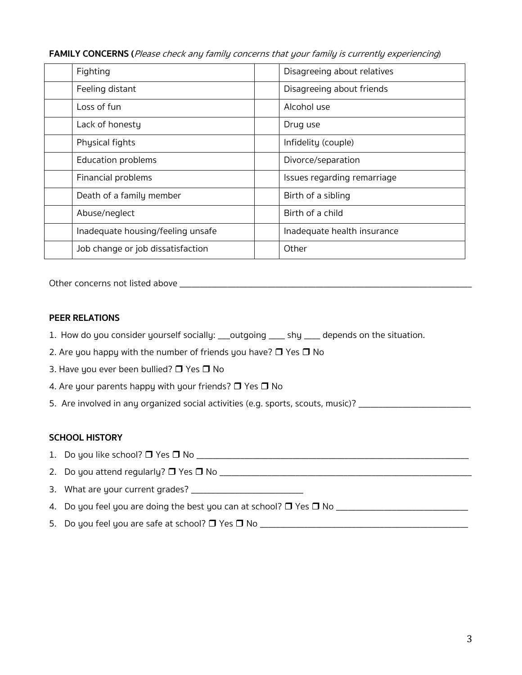**FAMILY CONCERNS (**Please check any family concerns that your family is currently experiencing)

| Fighting                          | Disagreeing about relatives |
|-----------------------------------|-----------------------------|
| Feeling distant                   | Disagreeing about friends   |
| Loss of fun                       | Alcohol use                 |
| Lack of honesty                   | Drug use                    |
| Physical fights                   | Infidelity (couple)         |
| <b>Education problems</b>         | Divorce/separation          |
| Financial problems                | Issues regarding remarriage |
| Death of a family member          | Birth of a sibling          |
| Abuse/neglect                     | Birth of a child            |
| Inadequate housing/feeling unsafe | Inadequate health insurance |
| Job change or job dissatisfaction | Other                       |

Other concerns not listed above \_\_\_\_\_\_\_\_\_\_\_\_\_\_\_\_\_\_\_\_\_\_\_\_\_\_\_\_\_\_\_\_\_\_\_\_\_\_\_\_\_\_\_\_\_\_\_\_\_\_\_\_\_\_\_\_\_\_\_\_\_\_\_\_\_\_\_\_\_\_\_\_\_

#### **PEER RELATIONS**

- 1.How do you consider yourself socially: \_\_\_outgoing \_\_\_\_ shy \_\_\_\_ depends on the situation.
- 2. Are you happy with the number of friends you have?  $\Box$  Yes  $\Box$  No
- 3. Have you ever been bullied?  $\Box$  Yes  $\Box$  No
- 4. Are your parents happy with your friends?  $\Box$  Yes  $\Box$  No
- 5. Are involved in any organized social activities (e.g. sports, scouts, music)? \_\_\_\_\_\_\_\_\_\_\_\_\_\_\_\_\_\_\_\_\_\_\_\_\_\_\_\_\_

### **SCHOOL HISTORY**

- 1. Do you like school? r Yes r No \_\_\_\_\_\_\_\_\_\_\_\_\_\_\_\_\_\_\_\_\_\_\_\_\_\_\_\_\_\_\_\_\_\_\_\_\_\_\_\_\_\_\_\_\_\_\_\_\_\_\_\_\_\_\_\_\_\_\_\_\_\_\_\_\_\_\_\_
- 2. Do you attend regularly? r Yes r No \_\_\_\_\_\_\_\_\_\_\_\_\_\_\_\_\_\_\_\_\_\_\_\_\_\_\_\_\_\_\_\_\_\_\_\_\_\_\_\_\_\_\_\_\_\_\_\_\_\_\_\_\_\_\_\_\_\_\_\_\_\_\_
- 3. What are your current grades? \_\_\_\_\_\_\_\_\_\_\_\_\_\_\_\_\_\_\_\_\_\_\_\_\_\_\_\_
- 4. Do you feel you are doing the best you can at school? r Yes r No \_\_\_\_\_\_\_\_\_\_\_\_\_\_\_\_\_\_\_\_\_\_\_\_\_\_\_\_\_\_\_\_\_
- 5. Do you feel you are safe at school? r Yes r No \_\_\_\_\_\_\_\_\_\_\_\_\_\_\_\_\_\_\_\_\_\_\_\_\_\_\_\_\_\_\_\_\_\_\_\_\_\_\_\_\_\_\_\_\_\_\_\_\_\_\_\_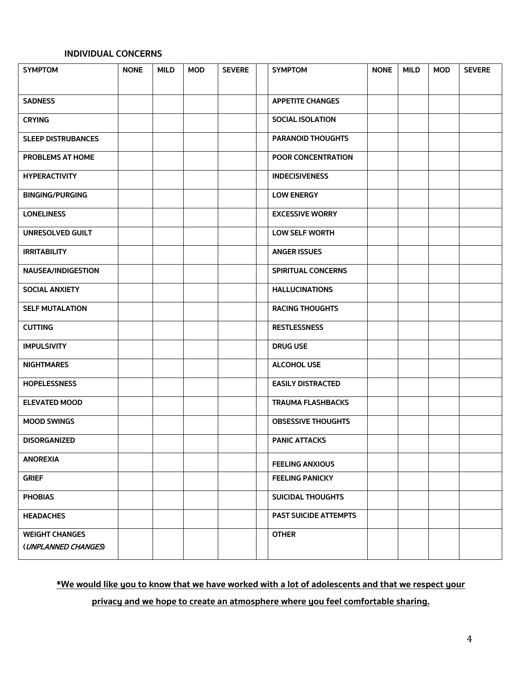# **INDIVIDUAL CONCERNS**

| <b>SYMPTOM</b>                               | <b>NONE</b> | <b>MILD</b> | <b>MOD</b> | <b>SEVERE</b> | <b>SYMPTOM</b>               | <b>NONE</b> | <b>MILD</b> | <b>MOD</b> | <b>SEVERE</b> |
|----------------------------------------------|-------------|-------------|------------|---------------|------------------------------|-------------|-------------|------------|---------------|
|                                              |             |             |            |               |                              |             |             |            |               |
| <b>SADNESS</b>                               |             |             |            |               | <b>APPETITE CHANGES</b>      |             |             |            |               |
| <b>CRYING</b>                                |             |             |            |               | <b>SOCIAL ISOLATION</b>      |             |             |            |               |
| <b>SLEEP DISTRUBANCES</b>                    |             |             |            |               | <b>PARANOID THOUGHTS</b>     |             |             |            |               |
| PROBLEMS AT HOME                             |             |             |            |               | POOR CONCENTRATION           |             |             |            |               |
| <b>HYPERACTIVITY</b>                         |             |             |            |               | <b>INDECISIVENESS</b>        |             |             |            |               |
| <b>BINGING/PURGING</b>                       |             |             |            |               | <b>LOW ENERGY</b>            |             |             |            |               |
| <b>LONELINESS</b>                            |             |             |            |               | <b>EXCESSIVE WORRY</b>       |             |             |            |               |
| <b>UNRESOLVED GUILT</b>                      |             |             |            |               | <b>LOW SELF WORTH</b>        |             |             |            |               |
| <b>IRRITABILITY</b>                          |             |             |            |               | <b>ANGER ISSUES</b>          |             |             |            |               |
| <b>NAUSEA/INDIGESTION</b>                    |             |             |            |               | <b>SPIRITUAL CONCERNS</b>    |             |             |            |               |
| <b>SOCIAL ANXIETY</b>                        |             |             |            |               | <b>HALLUCINATIONS</b>        |             |             |            |               |
| <b>SELF MUTALATION</b>                       |             |             |            |               | <b>RACING THOUGHTS</b>       |             |             |            |               |
| <b>CUTTING</b>                               |             |             |            |               | <b>RESTLESSNESS</b>          |             |             |            |               |
| <b>IMPULSIVITY</b>                           |             |             |            |               | <b>DRUG USE</b>              |             |             |            |               |
| <b>NIGHTMARES</b>                            |             |             |            |               | <b>ALCOHOL USE</b>           |             |             |            |               |
| <b>HOPELESSNESS</b>                          |             |             |            |               | <b>EASILY DISTRACTED</b>     |             |             |            |               |
| <b>ELEVATED MOOD</b>                         |             |             |            |               | <b>TRAUMA FLASHBACKS</b>     |             |             |            |               |
| <b>MOOD SWINGS</b>                           |             |             |            |               | <b>OBSESSIVE THOUGHTS</b>    |             |             |            |               |
| <b>DISORGANIZED</b>                          |             |             |            |               | <b>PANIC ATTACKS</b>         |             |             |            |               |
| <b>ANOREXIA</b>                              |             |             |            |               | <b>FEELING ANXIOUS</b>       |             |             |            |               |
| <b>GRIEF</b>                                 |             |             |            |               | <b>FEELING PANICKY</b>       |             |             |            |               |
| <b>PHOBIAS</b>                               |             |             |            |               | <b>SUICIDAL THOUGHTS</b>     |             |             |            |               |
| <b>HEADACHES</b>                             |             |             |            |               | <b>PAST SUICIDE ATTEMPTS</b> |             |             |            |               |
| <b>WEIGHT CHANGES</b><br>(UNPLANNED CHANGES) |             |             |            |               | <b>OTHER</b>                 |             |             |            |               |

# **\*We would like you to know that we have worked with a lot of adolescents and that we respect your**

**privacy and we hope to create an atmosphere where you feel comfortable sharing.**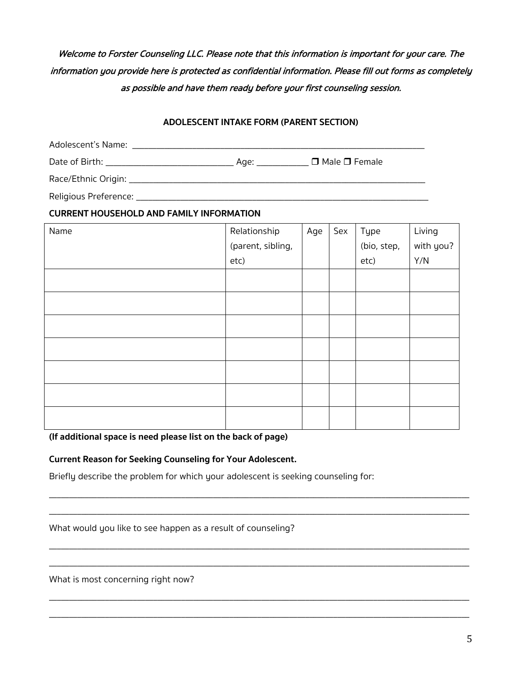# Welcome to Forster Counseling LLC. Please note that this information is important for your care. The information you provide here is protected as confidential information. Please fill out forms as completely as possible and have them ready before your first counseling session.

#### **ADOLESCENT INTAKE FORM (PARENT SECTION)**

| Adolescent's Name: Name and the contract of the contract of the contract of the contract of the contract of the |                           |
|-----------------------------------------------------------------------------------------------------------------|---------------------------|
|                                                                                                                 | $\Box$ Male $\Box$ Female |
|                                                                                                                 |                           |
| Religious Preference:                                                                                           |                           |

### **CURRENT HOUSEHOLD AND FAMILY INFORMATION**

| Name | Relationship      | Age | Sex | Type        | Living    |
|------|-------------------|-----|-----|-------------|-----------|
|      | (parent, sibling, |     |     | (bio, step, | with you? |
|      | etc)              |     |     | etc)        | Y/N       |
|      |                   |     |     |             |           |
|      |                   |     |     |             |           |
|      |                   |     |     |             |           |
|      |                   |     |     |             |           |
|      |                   |     |     |             |           |
|      |                   |     |     |             |           |
|      |                   |     |     |             |           |

\_\_\_\_\_\_\_\_\_\_\_\_\_\_\_\_\_\_\_\_\_\_\_\_\_\_\_\_\_\_\_\_\_\_\_\_\_\_\_\_\_\_\_\_\_\_\_\_\_\_\_\_\_\_\_\_\_\_\_\_\_\_\_\_\_\_\_\_\_\_\_\_\_\_\_\_\_\_\_\_\_\_\_\_\_\_\_\_\_\_\_\_\_\_\_\_\_\_\_\_\_\_\_\_\_ \_\_\_\_\_\_\_\_\_\_\_\_\_\_\_\_\_\_\_\_\_\_\_\_\_\_\_\_\_\_\_\_\_\_\_\_\_\_\_\_\_\_\_\_\_\_\_\_\_\_\_\_\_\_\_\_\_\_\_\_\_\_\_\_\_\_\_\_\_\_\_\_\_\_\_\_\_\_\_\_\_\_\_\_\_\_\_\_\_\_\_\_\_\_\_\_\_\_\_\_\_\_\_\_\_

\_\_\_\_\_\_\_\_\_\_\_\_\_\_\_\_\_\_\_\_\_\_\_\_\_\_\_\_\_\_\_\_\_\_\_\_\_\_\_\_\_\_\_\_\_\_\_\_\_\_\_\_\_\_\_\_\_\_\_\_\_\_\_\_\_\_\_\_\_\_\_\_\_\_\_\_\_\_\_\_\_\_\_\_\_\_\_\_\_\_\_\_\_\_\_\_\_\_\_\_\_\_\_\_\_

\_\_\_\_\_\_\_\_\_\_\_\_\_\_\_\_\_\_\_\_\_\_\_\_\_\_\_\_\_\_\_\_\_\_\_\_\_\_\_\_\_\_\_\_\_\_\_\_\_\_\_\_\_\_\_\_\_\_\_\_\_\_\_\_\_\_\_\_\_\_\_\_\_\_\_\_\_\_\_\_\_\_\_\_\_\_\_\_\_\_\_\_\_\_\_\_\_\_\_\_\_\_\_\_\_

\_\_\_\_\_\_\_\_\_\_\_\_\_\_\_\_\_\_\_\_\_\_\_\_\_\_\_\_\_\_\_\_\_\_\_\_\_\_\_\_\_\_\_\_\_\_\_\_\_\_\_\_\_\_\_\_\_\_\_\_\_\_\_\_\_\_\_\_\_\_\_\_\_\_\_\_\_\_\_\_\_\_\_\_\_\_\_\_\_\_\_\_\_\_\_\_\_\_\_\_\_\_\_\_\_

\_\_\_\_\_\_\_\_\_\_\_\_\_\_\_\_\_\_\_\_\_\_\_\_\_\_\_\_\_\_\_\_\_\_\_\_\_\_\_\_\_\_\_\_\_\_\_\_\_\_\_\_\_\_\_\_\_\_\_\_\_\_\_\_\_\_\_\_\_\_\_\_\_\_\_\_\_\_\_\_\_\_\_\_\_\_\_\_\_\_\_\_\_\_\_\_\_\_\_\_\_\_\_\_\_

**(If additional space is need please list on the back of page)**

### **Current Reason for Seeking Counseling for Your Adolescent.**

Briefly describe the problem for which your adolescent is seeking counseling for:

What would you like to see happen as a result of counseling?

What is most concerning right now?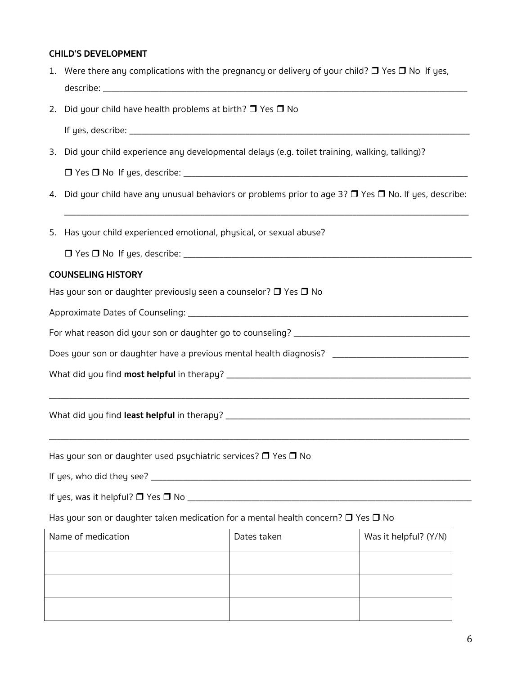# **CHILD'S DEVELOPMENT**

| 1. | Were there any complications with the pregnancy or delivery of your child? $\square$ Yes $\square$ No If yes, |             |                       |  |  |  |  |  |  |  |
|----|---------------------------------------------------------------------------------------------------------------|-------------|-----------------------|--|--|--|--|--|--|--|
|    | 2. Did your child have health problems at birth? $\Box$ Yes $\Box$ No                                         |             |                       |  |  |  |  |  |  |  |
|    |                                                                                                               |             |                       |  |  |  |  |  |  |  |
|    | 3. Did your child experience any developmental delays (e.g. toilet training, walking, talking)?               |             |                       |  |  |  |  |  |  |  |
|    |                                                                                                               |             |                       |  |  |  |  |  |  |  |
|    | 4. Did your child have any unusual behaviors or problems prior to age 3? D Yes D No. If yes, describe:        |             |                       |  |  |  |  |  |  |  |
| 5. | Has your child experienced emotional, physical, or sexual abuse?                                              |             |                       |  |  |  |  |  |  |  |
|    |                                                                                                               |             |                       |  |  |  |  |  |  |  |
|    | <b>COUNSELING HISTORY</b>                                                                                     |             |                       |  |  |  |  |  |  |  |
|    | Has your son or daughter previously seen a counselor? $\Box$ Yes $\Box$ No                                    |             |                       |  |  |  |  |  |  |  |
|    |                                                                                                               |             |                       |  |  |  |  |  |  |  |
|    |                                                                                                               |             |                       |  |  |  |  |  |  |  |
|    | Does your son or daughter have a previous mental health diagnosis? ________________________________           |             |                       |  |  |  |  |  |  |  |
|    |                                                                                                               |             |                       |  |  |  |  |  |  |  |
|    |                                                                                                               |             |                       |  |  |  |  |  |  |  |
|    | Has your son or daughter used psychiatric services? $\Box$ Yes $\Box$ No                                      |             |                       |  |  |  |  |  |  |  |
|    |                                                                                                               |             |                       |  |  |  |  |  |  |  |
|    |                                                                                                               |             |                       |  |  |  |  |  |  |  |
|    | Has your son or daughter taken medication for a mental health concern? $\Box$ Yes $\Box$ No                   |             |                       |  |  |  |  |  |  |  |
|    | Name of medication                                                                                            | Dates taken | Was it helpful? (Y/N) |  |  |  |  |  |  |  |
|    |                                                                                                               |             |                       |  |  |  |  |  |  |  |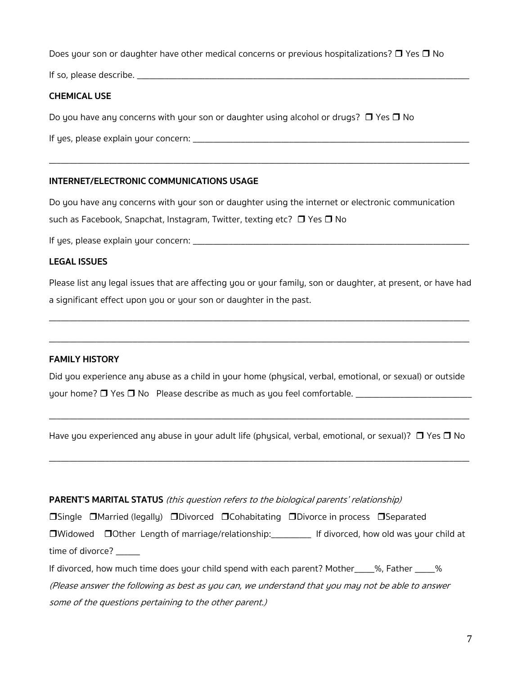Does your son or daughter have other medical concerns or previous hospitalizations?  $\Box$  Yes  $\Box$  No

If so, please describe. \_\_\_\_\_\_\_\_\_\_\_\_\_\_\_\_\_\_\_\_\_\_\_\_\_\_\_\_\_\_\_\_\_\_\_\_\_\_\_\_\_\_\_\_\_\_\_\_\_\_\_\_\_\_\_\_\_\_\_\_\_\_\_\_\_\_\_\_\_\_\_\_\_\_\_\_\_\_\_\_\_\_\_

# **CHEMICAL USE**

Do you have any concerns with your son or daughter using alcohol or drugs?  $\Box$  Yes  $\Box$  No

If yes, please explain your concern: \_\_\_\_\_\_\_\_\_\_\_\_\_\_\_\_\_\_\_\_\_\_\_\_\_\_\_\_\_\_\_\_\_\_\_\_\_\_\_\_\_\_\_\_\_\_\_\_\_\_\_\_\_\_\_\_\_\_\_\_\_\_\_\_\_\_\_\_\_

## **INTERNET/ELECTRONIC COMMUNICATIONS USAGE**

Do you have any concerns with your son or daughter using the internet or electronic communication

\_\_\_\_\_\_\_\_\_\_\_\_\_\_\_\_\_\_\_\_\_\_\_\_\_\_\_\_\_\_\_\_\_\_\_\_\_\_\_\_\_\_\_\_\_\_\_\_\_\_\_\_\_\_\_\_\_\_\_\_\_\_\_\_\_\_\_\_\_\_\_\_\_\_\_\_\_\_\_\_\_\_\_\_\_\_\_\_\_\_\_\_\_\_\_\_\_\_\_\_\_\_\_\_\_

such as Facebook, Snapchat, Instagram, Twitter, texting etc?  $\Box$  Yes  $\Box$  No

If yes, please explain your concern: \_\_\_\_\_\_\_\_\_\_\_\_\_\_\_\_\_\_\_\_\_\_\_\_\_\_\_\_\_\_\_\_\_\_\_\_\_\_\_\_\_\_\_\_\_\_\_\_\_\_\_\_\_\_\_\_\_\_\_\_\_\_\_\_\_\_\_\_\_

### **LEGAL ISSUES**

Please list any legal issues that are affecting you or your family, son or daughter, at present, or have had a significant effect upon you or your son or daughter in the past.

\_\_\_\_\_\_\_\_\_\_\_\_\_\_\_\_\_\_\_\_\_\_\_\_\_\_\_\_\_\_\_\_\_\_\_\_\_\_\_\_\_\_\_\_\_\_\_\_\_\_\_\_\_\_\_\_\_\_\_\_\_\_\_\_\_\_\_\_\_\_\_\_\_\_\_\_\_\_\_\_\_\_\_\_\_\_\_\_\_\_\_\_\_\_\_\_\_\_\_\_\_\_\_\_\_

\_\_\_\_\_\_\_\_\_\_\_\_\_\_\_\_\_\_\_\_\_\_\_\_\_\_\_\_\_\_\_\_\_\_\_\_\_\_\_\_\_\_\_\_\_\_\_\_\_\_\_\_\_\_\_\_\_\_\_\_\_\_\_\_\_\_\_\_\_\_\_\_\_\_\_\_\_\_\_\_\_\_\_\_\_\_\_\_\_\_\_\_\_\_\_\_\_\_\_\_\_\_\_\_\_

### **FAMILY HISTORY**

Did you experience any abuse as a child in your home (physical, verbal, emotional, or sexual) or outside your home?  $\Box$  Yes  $\Box$  No Please describe as much as you feel comfortable.  $\Box$ 

Have you experienced any abuse in your adult life (physical, verbal, emotional, or sexual)?  $\Box$  Yes  $\Box$  No

\_\_\_\_\_\_\_\_\_\_\_\_\_\_\_\_\_\_\_\_\_\_\_\_\_\_\_\_\_\_\_\_\_\_\_\_\_\_\_\_\_\_\_\_\_\_\_\_\_\_\_\_\_\_\_\_\_\_\_\_\_\_\_\_\_\_\_\_\_\_\_\_\_\_\_\_\_\_\_\_\_\_\_\_\_\_\_\_\_\_\_\_\_\_\_\_\_\_\_\_\_\_\_\_\_

\_\_\_\_\_\_\_\_\_\_\_\_\_\_\_\_\_\_\_\_\_\_\_\_\_\_\_\_\_\_\_\_\_\_\_\_\_\_\_\_\_\_\_\_\_\_\_\_\_\_\_\_\_\_\_\_\_\_\_\_\_\_\_\_\_\_\_\_\_\_\_\_\_\_\_\_\_\_\_\_\_\_\_\_\_\_\_\_\_\_\_\_\_\_\_\_\_\_\_\_\_\_\_\_\_

### **PARENT'S MARITAL STATUS** (this question refers to the biological parents' relationship)

**OSingle CMarried (legally) CONAGO CONABITATION RUPIES** rotation rocess CSeparated □Widowed □Other Length of marriage/relationship:\_\_\_\_\_\_\_\_ If divorced, how old was your child at

time of divorce?

If divorced, how much time does your child spend with each parent? Mother 3%, Father 3% (Please answer the following as best as you can, we understand that you may not be able to answer some of the questions pertaining to the other parent.)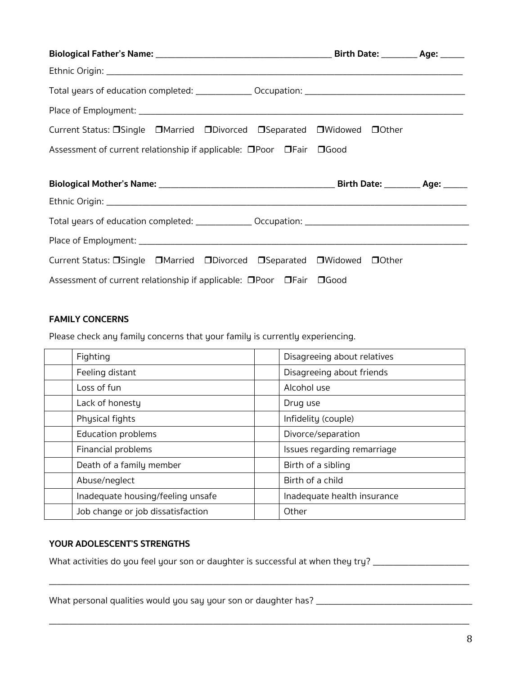| Current Status: □Single □Married □Divorced □Separated □Widowed □Other |  |
|-----------------------------------------------------------------------|--|
| Assessment of current relationship if applicable: □Poor □Fair □Good   |  |
|                                                                       |  |
|                                                                       |  |
|                                                                       |  |
|                                                                       |  |
|                                                                       |  |
| Current Status: □Single □Married □Divorced □Separated □Widowed □Other |  |
| Assessment of current relationship if applicable: □Poor □Fair □Good   |  |

# **FAMILY CONCERNS**

Please check any family concerns that your family is currently experiencing.

| Fighting                          | Disagreeing about relatives |
|-----------------------------------|-----------------------------|
| Feeling distant                   | Disagreeing about friends   |
| Loss of fun                       | Alcohol use                 |
| Lack of honesty                   | Drug use                    |
| Physical fights                   | Infidelity (couple)         |
| Education problems                | Divorce/separation          |
| Financial problems                | Issues regarding remarriage |
| Death of a family member          | Birth of a sibling          |
| Abuse/neglect                     | Birth of a child            |
| Inadequate housing/feeling unsafe | Inadequate health insurance |
| Job change or job dissatisfaction | Other                       |

\_\_\_\_\_\_\_\_\_\_\_\_\_\_\_\_\_\_\_\_\_\_\_\_\_\_\_\_\_\_\_\_\_\_\_\_\_\_\_\_\_\_\_\_\_\_\_\_\_\_\_\_\_\_\_\_\_\_\_\_\_\_\_\_\_\_\_\_\_\_\_\_\_\_\_\_\_\_\_\_\_\_\_\_\_\_\_\_\_\_\_\_\_\_\_\_\_\_\_\_\_\_\_\_\_

\_\_\_\_\_\_\_\_\_\_\_\_\_\_\_\_\_\_\_\_\_\_\_\_\_\_\_\_\_\_\_\_\_\_\_\_\_\_\_\_\_\_\_\_\_\_\_\_\_\_\_\_\_\_\_\_\_\_\_\_\_\_\_\_\_\_\_\_\_\_\_\_\_\_\_\_\_\_\_\_\_\_\_\_\_\_\_\_\_\_\_\_\_\_\_\_\_\_\_\_\_\_\_\_\_

#### **YOUR ADOLESCENT'S STRENGTHS**

What activities do you feel your son or daughter is successful at when they try? \_\_\_\_\_\_\_\_\_\_\_\_\_\_\_\_\_\_\_\_\_\_\_\_\_\_\_\_\_

What personal qualities would you say your son or daughter has? \_\_\_\_\_\_\_\_\_\_\_\_\_\_\_\_\_\_\_\_\_\_\_\_\_\_\_\_\_\_\_\_\_\_\_\_\_\_\_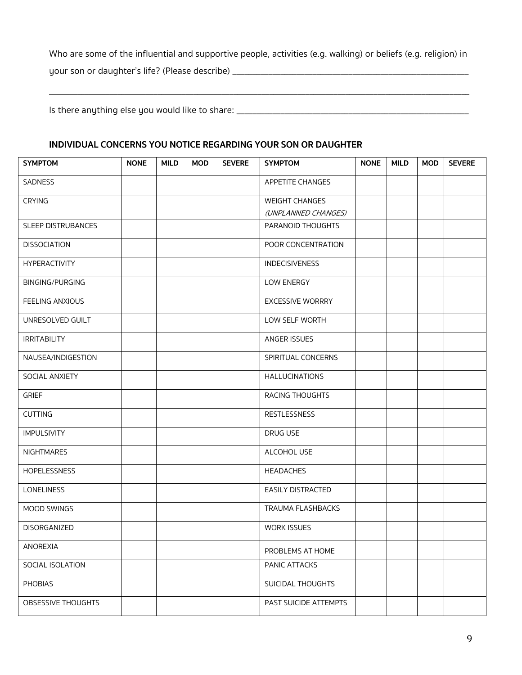Who are some of the influential and supportive people, activities (e.g. walking) or beliefs (e.g. religion) in your son or daughter's life? (Please describe) \_\_\_\_\_\_\_\_\_\_\_\_\_\_\_\_\_\_\_\_\_\_\_\_\_\_\_\_\_\_\_\_\_

\_\_\_\_\_\_\_\_\_\_\_\_\_\_\_\_\_\_\_\_\_\_\_\_\_\_\_\_\_\_\_\_\_\_\_\_\_\_\_\_\_\_\_\_\_\_\_\_\_\_\_\_\_\_\_\_\_\_\_\_\_\_\_\_\_\_\_\_\_\_\_\_\_\_\_\_\_\_\_\_\_\_\_\_\_\_\_\_\_\_\_\_\_\_\_\_\_\_\_\_\_\_\_\_\_

Is there anything else you would like to share: \_\_\_\_\_\_\_\_\_\_\_\_\_\_\_\_\_\_\_\_\_\_\_\_\_\_\_\_\_\_\_\_\_\_\_\_\_\_\_\_\_\_\_\_\_\_\_\_\_\_\_\_\_\_\_\_\_\_

#### **INDIVIDUAL CONCERNS YOU NOTICE REGARDING YOUR SON OR DAUGHTER**

| <b>SYMPTOM</b>       | <b>NONE</b> | <b>MILD</b> | <b>MOD</b> | <b>SEVERE</b> | <b>SYMPTOM</b>           | <b>NONE</b> | <b>MILD</b> | <b>MOD</b> | <b>SEVERE</b> |
|----------------------|-------------|-------------|------------|---------------|--------------------------|-------------|-------------|------------|---------------|
| SADNESS              |             |             |            |               | APPETITE CHANGES         |             |             |            |               |
| <b>CRYING</b>        |             |             |            |               | <b>WEIGHT CHANGES</b>    |             |             |            |               |
|                      |             |             |            |               | (UNPLANNED CHANGES)      |             |             |            |               |
| SLEEP DISTRUBANCES   |             |             |            |               | PARANOID THOUGHTS        |             |             |            |               |
| <b>DISSOCIATION</b>  |             |             |            |               | POOR CONCENTRATION       |             |             |            |               |
| <b>HYPERACTIVITY</b> |             |             |            |               | <b>INDECISIVENESS</b>    |             |             |            |               |
| BINGING/PURGING      |             |             |            |               | LOW ENERGY               |             |             |            |               |
| FEELING ANXIOUS      |             |             |            |               | <b>EXCESSIVE WORRRY</b>  |             |             |            |               |
| UNRESOLVED GUILT     |             |             |            |               | LOW SELF WORTH           |             |             |            |               |
| <b>IRRITABILITY</b>  |             |             |            |               | ANGER ISSUES             |             |             |            |               |
| NAUSEA/INDIGESTION   |             |             |            |               | SPIRITUAL CONCERNS       |             |             |            |               |
| SOCIAL ANXIETY       |             |             |            |               | <b>HALLUCINATIONS</b>    |             |             |            |               |
| <b>GRIEF</b>         |             |             |            |               | RACING THOUGHTS          |             |             |            |               |
| <b>CUTTING</b>       |             |             |            |               | <b>RESTLESSNESS</b>      |             |             |            |               |
| <b>IMPULSIVITY</b>   |             |             |            |               | DRUG USE                 |             |             |            |               |
| <b>NIGHTMARES</b>    |             |             |            |               | ALCOHOL USE              |             |             |            |               |
| <b>HOPELESSNESS</b>  |             |             |            |               | <b>HEADACHES</b>         |             |             |            |               |
| <b>LONELINESS</b>    |             |             |            |               | EASILY DISTRACTED        |             |             |            |               |
| MOOD SWINGS          |             |             |            |               | <b>TRAUMA FLASHBACKS</b> |             |             |            |               |
| <b>DISORGANIZED</b>  |             |             |            |               | <b>WORK ISSUES</b>       |             |             |            |               |
| ANOREXIA             |             |             |            |               | PROBLEMS AT HOME         |             |             |            |               |
| SOCIAL ISOLATION     |             |             |            |               | PANIC ATTACKS            |             |             |            |               |
| <b>PHOBIAS</b>       |             |             |            |               | SUICIDAL THOUGHTS        |             |             |            |               |
| OBSESSIVE THOUGHTS   |             |             |            |               | PAST SUICIDE ATTEMPTS    |             |             |            |               |